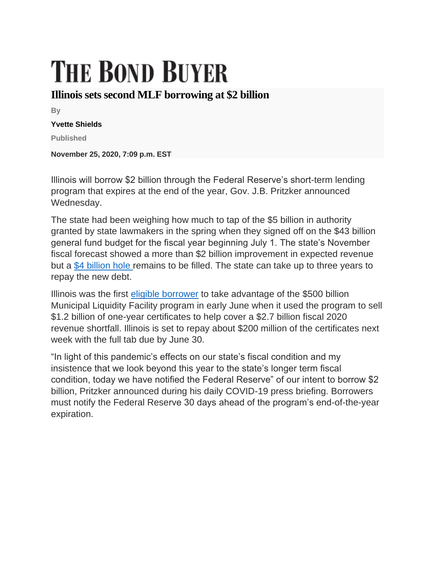## **THE BOND BUYER**

## **Illinois sets second MLF borrowing at \$2 billion**

**By**

## **Yvette Shields**

**Published**

**November 25, 2020, 7:09 p.m. EST**

Illinois will borrow \$2 billion through the Federal Reserve's short-term lending program that expires at the end of the year, Gov. J.B. Pritzker announced Wednesday.

The state had been weighing how much to tap of the \$5 billion in authority granted by state lawmakers in the spring when they signed off on the \$43 billion general fund budget for the fiscal year beginning July 1. The state's November fiscal forecast showed a more than \$2 billion improvement in expected revenue but a [\\$4 billion hole](https://www.bondbuyer.com/news/grim-illinois-budget-forecast-sets-stage-for-cuts-mlf-borrowing) remains to be filled. The state can take up to three years to repay the new debt.

Illinois was the first [eligible borrower](https://www.bondbuyer.com/news/illinois-is-first-to-use-fed-mlf-program-in-1-2-billion-deal) to take advantage of the \$500 billion Municipal Liquidity Facility program in early June when it used the program to sell \$1.2 billion of one-year certificates to help cover a \$2.7 billion fiscal 2020 revenue shortfall. Illinois is set to repay about \$200 million of the certificates next week with the full tab due by June 30.

"In light of this pandemic's effects on our state's fiscal condition and my insistence that we look beyond this year to the state's longer term fiscal condition, today we have notified the Federal Reserve" of our intent to borrow \$2 billion, Pritzker announced during his daily COVID-19 press briefing. Borrowers must notify the Federal Reserve 30 days ahead of the program's end-of-the-year expiration.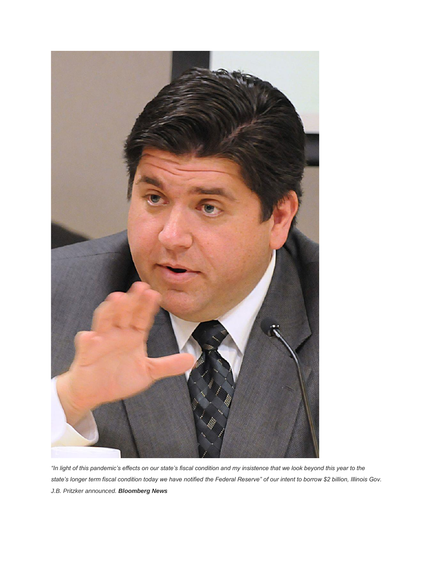

*"In light of this pandemic's effects on our state's fiscal condition and my insistence that we look beyond this year to the state's longer term fiscal condition today we have notified the Federal Reserve" of our intent to borrow \$2 billion, Illinois Gov. J.B. Pritzker announced. Bloomberg News*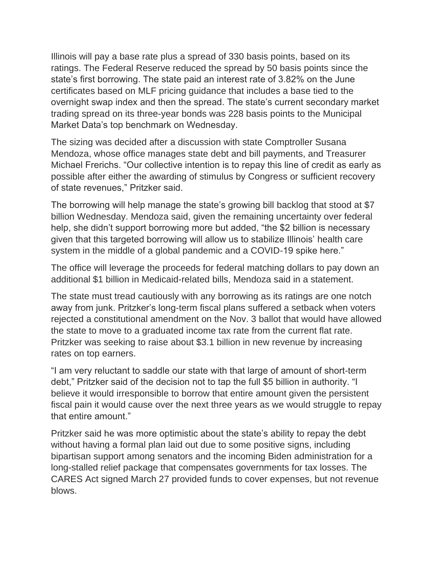Illinois will pay a base rate plus a spread of 330 basis points, based on its ratings. The Federal Reserve reduced the spread by 50 basis points since the state's first borrowing. The state paid an interest rate of 3.82% on the June certificates based on MLF pricing guidance that includes a base tied to the overnight swap index and then the spread. The state's current secondary market trading spread on its three-year bonds was 228 basis points to the Municipal Market Data's top benchmark on Wednesday.

The sizing was decided after a discussion with state Comptroller Susana Mendoza, whose office manages state debt and bill payments, and Treasurer Michael Frerichs. "Our collective intention is to repay this line of credit as early as possible after either the awarding of stimulus by Congress or sufficient recovery of state revenues," Pritzker said.

The borrowing will help manage the state's growing bill backlog that stood at \$7 billion Wednesday. Mendoza said, given the remaining uncertainty over federal help, she didn't support borrowing more but added, "the \$2 billion is necessary given that this targeted borrowing will allow us to stabilize Illinois' health care system in the middle of a global pandemic and a COVID-19 spike here."

The office will leverage the proceeds for federal matching dollars to pay down an additional \$1 billion in Medicaid-related bills, Mendoza said in a statement.

The state must tread cautiously with any borrowing as its ratings are one notch away from junk. Pritzker's long-term fiscal plans suffered a setback when voters rejected a constitutional amendment on the Nov. 3 ballot that would have allowed the state to move to a graduated income tax rate from the current flat rate. Pritzker was seeking to raise about \$3.1 billion in new revenue by increasing rates on top earners.

"I am very reluctant to saddle our state with that large of amount of short-term debt," Pritzker said of the decision not to tap the full \$5 billion in authority. "I believe it would irresponsible to borrow that entire amount given the persistent fiscal pain it would cause over the next three years as we would struggle to repay that entire amount."

Pritzker said he was more optimistic about the state's ability to repay the debt without having a formal plan laid out due to some positive signs, including bipartisan support among senators and the incoming Biden administration for a long-stalled relief package that compensates governments for tax losses. The CARES Act signed March 27 provided funds to cover expenses, but not revenue blows.